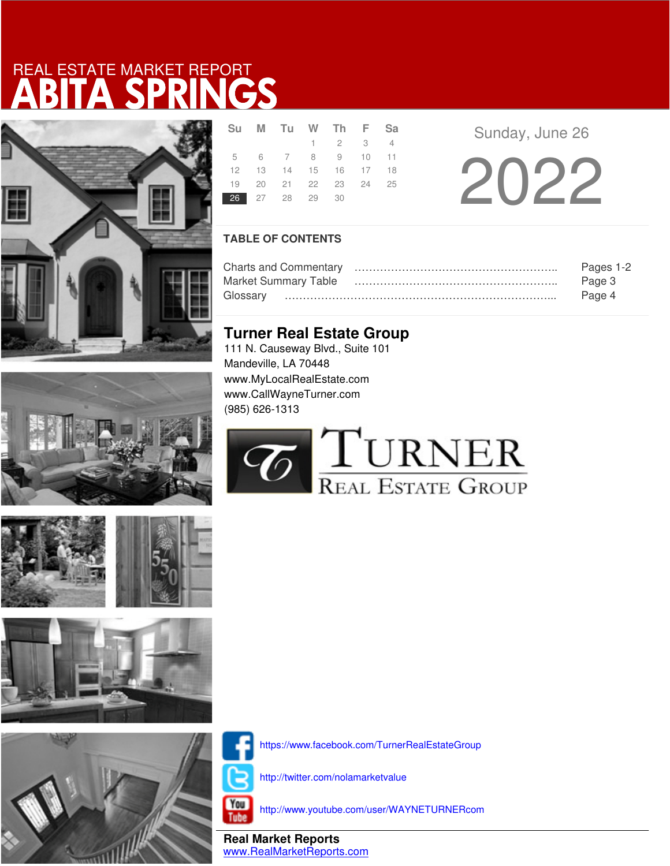





| <b>Su</b> | M Tu W Th F Sa       |                 |  |  |
|-----------|----------------------|-----------------|--|--|
|           |                      | $1 \t2 \t3 \t4$ |  |  |
|           | 5 6 7 8 9 10 11      |                 |  |  |
|           | 12 13 14 15 16 17 18 |                 |  |  |
|           | 19 20 21 22 23 24 25 |                 |  |  |
|           | 26 27 28 29 30       |                 |  |  |

Sunday, June 26

20 22

## **TABLE OF CONTENTS**

|                             | Pages 1-2 |
|-----------------------------|-----------|
| <b>Market Summary Table</b> | Page 3    |
|                             | Page 4    |

## **Turner Real Estate Group**

111 N. Causeway Blvd., Suite 101 Mandeville, LA 70448 www.MyLocalRealEstate.com www.CallWayneTurner.com (985) 626-1313





https://www.facebook.com/TurnerRealEstateGroup

http://twitter.com/nolamarketvalue

You Tube

http://www.youtube.com/user/WAYNETURNERcom

**Real Market Reports** www.RealMarketReports.com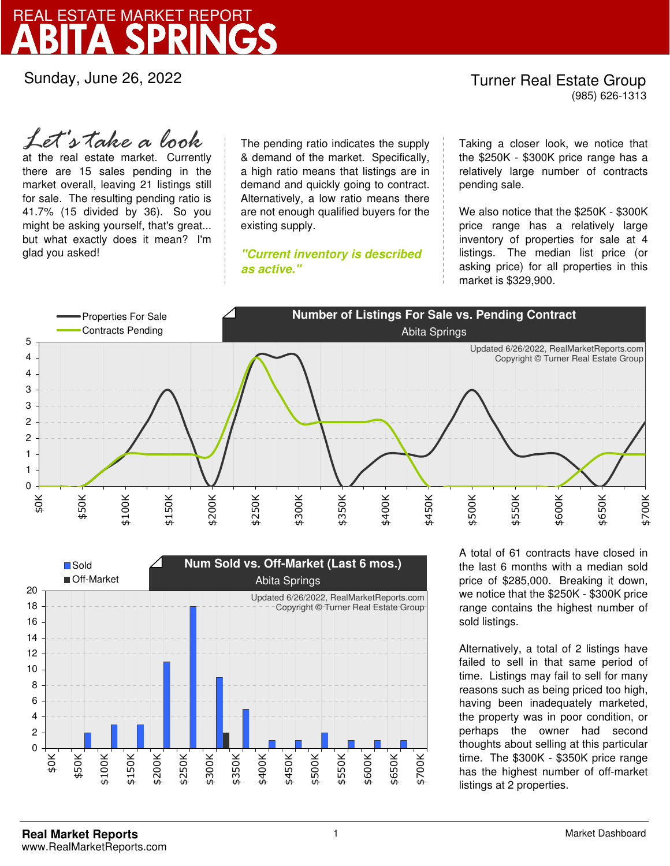Sunday, June 26, 2022

### Turner Real Estate Group (985) 626-1313

at the real estate market. Currently there are 15 sales pending in the market overall, leaving 21 listings still for sale. The resulting pending ratio is 41.7% (15 divided by 36). So you might be asking yourself, that's great... but what exactly does it mean? I'm glad you asked! *Let's take a look*

The pending ratio indicates the supply & demand of the market. Specifically, a high ratio means that listings are in demand and quickly going to contract. Alternatively, a low ratio means there are not enough qualified buyers for the existing supply.

**"Current inventory is described as active."**

Taking a closer look, we notice that the \$250K - \$300K price range has a relatively large number of contracts pending sale.

We also notice that the \$250K - \$300K price range has a relatively large inventory of properties for sale at 4 listings. The median list price (or asking price) for all properties in this market is \$329,900.





A total of 61 contracts have closed in the last 6 months with a median sold price of \$285,000. Breaking it down, we notice that the \$250K - \$300K price range contains the highest number of sold listings.

Alternatively, a total of 2 listings have failed to sell in that same period of time. Listings may fail to sell for many reasons such as being priced too high, having been inadequately marketed, the property was in poor condition, or perhaps the owner had second thoughts about selling at this particular time. The \$300K - \$350K price range has the highest number of off-market listings at 2 properties.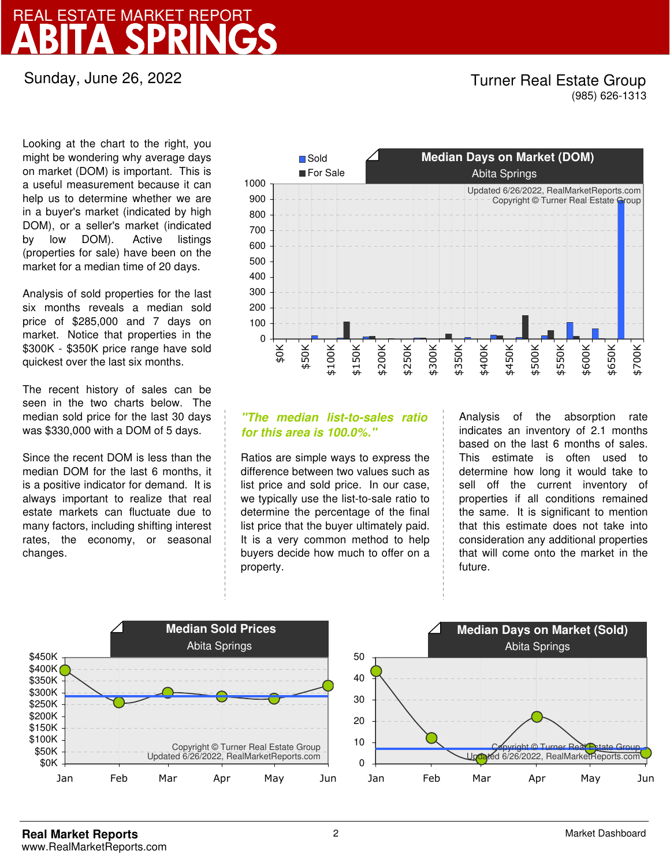Sunday, June 26, 2022

## Turner Real Estate Group (985) 626-1313

Looking at the chart to the right, you might be wondering why average days on market (DOM) is important. This is a useful measurement because it can help us to determine whether we are in a buyer's market (indicated by high DOM), or a seller's market (indicated by low DOM). Active listings (properties for sale) have been on the market for a median time of 20 days.

Analysis of sold properties for the last six months reveals a median sold price of \$285,000 and 7 days on market. Notice that properties in the \$300K - \$350K price range have sold quickest over the last six months.

The recent history of sales can be seen in the two charts below. The median sold price for the last 30 days was \$330,000 with a DOM of 5 days.

Since the recent DOM is less than the median DOM for the last 6 months, it is a positive indicator for demand. It is always important to realize that real estate markets can fluctuate due to many factors, including shifting interest rates, the economy, or seasonal changes.



## **"The median list-to-sales ratio for this area is 100.0%."**

Ratios are simple ways to express the difference between two values such as list price and sold price. In our case, we typically use the list-to-sale ratio to determine the percentage of the final list price that the buyer ultimately paid. It is a very common method to help buyers decide how much to offer on a property.

Analysis of the absorption rate indicates an inventory of 2.1 months based on the last 6 months of sales. This estimate is often used to determine how long it would take to sell off the current inventory of properties if all conditions remained the same. It is significant to mention that this estimate does not take into consideration any additional properties that will come onto the market in the future.

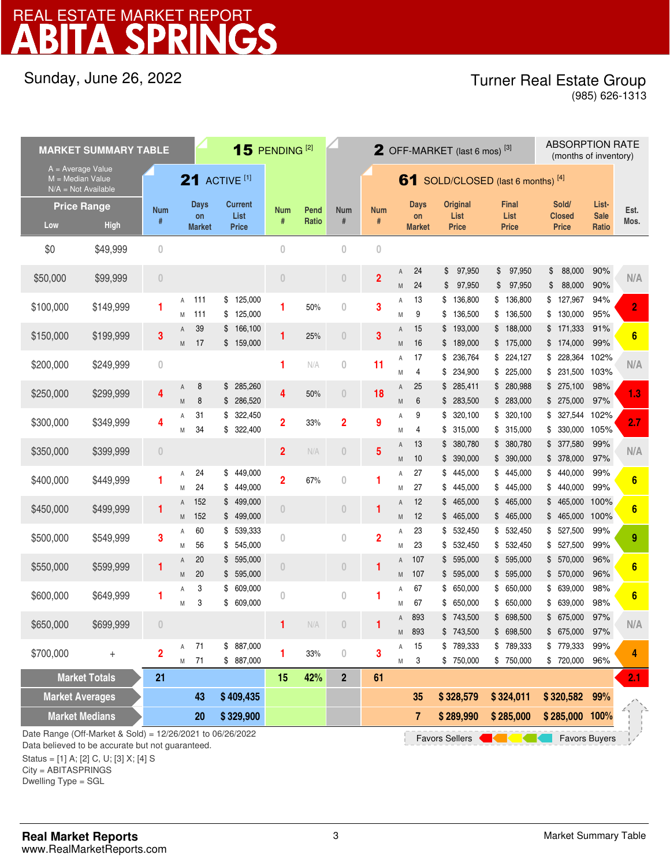## Sunday, June 26, 2022

## Turner Real Estate Group

(985) 626-1313

| <b>MARKET SUMMARY TABLE</b>                                                        |             |                 |                      |                             | 15 PENDING <sup>[2]</sup>              |                         |                |                 | <b>2</b> OFF-MARKET (last 6 mos) <sup>[3]</sup> |                     |                             |                                    |                                      | <b>ABSORPTION RATE</b><br>(months of inventory) |                               |                |
|------------------------------------------------------------------------------------|-------------|-----------------|----------------------|-----------------------------|----------------------------------------|-------------------------|----------------|-----------------|-------------------------------------------------|---------------------|-----------------------------|------------------------------------|--------------------------------------|-------------------------------------------------|-------------------------------|----------------|
| $A = Average Value$<br>$M = Median Value$<br>$N/A = Not Available$                 |             |                 | <b>21 ACTIVE [1]</b> |                             |                                        |                         |                |                 | 61<br>SOLD/CLOSED (last 6 months) [4]           |                     |                             |                                    |                                      |                                                 |                               |                |
| <b>Price Range</b><br>Low                                                          | <b>High</b> | <b>Num</b><br># |                      | Days<br>on<br><b>Market</b> | <b>Current</b><br>List<br><b>Price</b> | <b>Num</b><br>#         | Pend<br>Ratio  | <b>Num</b><br># | <b>Num</b><br>#                                 |                     | Days<br>on<br><b>Market</b> | Original<br>List<br><b>Price</b>   | <b>Final</b><br>List<br><b>Price</b> | Sold/<br>Closed<br><b>Price</b>                 | List-<br><b>Sale</b><br>Ratio | Est.<br>Mos.   |
| \$0                                                                                | \$49,999    | $\overline{0}$  |                      |                             |                                        | $\overline{0}$          |                | $\overline{0}$  | $\theta$                                        |                     |                             |                                    |                                      |                                                 |                               |                |
| \$50,000                                                                           | \$99,999    | $\theta$        |                      |                             |                                        | $\overline{0}$          |                | $\theta$        | $\overline{2}$                                  | A<br>M              | 24<br>24                    | 97,950<br>\$<br>\$<br>97,950       | \$<br>97,950<br>\$<br>97,950         | \$<br>88,000<br>88,000<br>\$                    | 90%<br>90%                    | N/A            |
| \$100,000                                                                          | \$149,999   | 1               | Α<br>M               | 111<br>111                  | \$125,000<br>\$125,000                 | 1                       | 50%            | $\overline{0}$  | 3                                               | Α<br>M              | 13<br>9                     | \$<br>136,800<br>\$<br>136,500     | \$<br>136,800<br>\$136,500           | 127,967<br>\$<br>130,000<br>\$                  | 94%<br>95%                    | $\overline{2}$ |
| \$150,000                                                                          | \$199,999   | 3               | Α                    | 39<br>17                    | 166,100<br>\$<br>159,000<br>\$         | 1                       | 25%            | $\theta$        | 3                                               | $\overline{A}$      | 15<br>16                    | \$<br>193,000                      | \$188,000                            | 171,333<br>\$<br>174,000                        | 91%<br>99%                    | 6              |
| \$200,000                                                                          | \$249,999   | $\theta$        | M                    |                             |                                        | 1                       | N/A            | $\overline{0}$  | 11                                              | M<br>А              | 17                          | \$<br>189,000<br>\$<br>236,764     | \$175,000<br>\$<br>224,127           | \$<br>\$<br>228,364 102%                        |                               | N/A            |
| \$250,000                                                                          | \$299,999   | 4               | A                    | 8                           | 285,260<br>\$                          | 4                       | 50%            | $\theta$        | 18                                              | M<br>A              | 4<br>25                     | 234,900<br>\$<br>\$285,411         | \$<br>225,000<br>\$ 280,988          | 231,500 103%<br>\$<br>275,100<br>\$             | 98%                           | 1.3            |
| \$300,000                                                                          | \$349,999   | 4               | M<br>A               | 8<br>31                     | \$286,520<br>322,450<br>\$             | $\overline{\mathbf{2}}$ | 33%            | $\overline{2}$  | 9                                               | M<br>A              | 6<br>9                      | \$283,500<br>\$<br>320,100         | \$283,000<br>\$<br>320,100           | \$275,000<br>327,544 102%<br>\$                 | 97%                           | 2.7            |
| \$350,000                                                                          | \$399,999   | $\theta$        | M                    | 34                          | 322,400<br>S                           | $\overline{2}$          | N/A            | $\overline{0}$  | 5                                               | M<br>Α              | 4<br>13                     | \$<br>315,000<br>380,780<br>\$     | \$<br>315,000<br>\$<br>380,780       | 330,000 105%<br>\$<br>377,580<br>\$             | 99%                           | N/A            |
| \$400,000                                                                          | \$449,999   | 1               | Α                    | 24                          | 449,000<br>\$                          | $\overline{2}$          | 67%            | $\overline{0}$  | 1                                               | M<br>A              | 10<br>27                    | \$390,000<br>445,000<br>\$         | \$390,000<br>445,000<br>\$           | 378,000<br>\$<br>440,000<br>\$                  | 97%<br>99%                    | 6              |
| \$450,000                                                                          | \$499,999   | 1               | Μ<br>A               | 24<br>152                   | 449,000<br>\$<br>499,000<br>\$         | $\overline{0}$          |                | $\theta$        | 1                                               | M<br>A              | 27<br>12                    | 445,000<br>\$<br>465,000<br>\$     | 445,000<br>\$<br>\$<br>465,000       | 440,000<br>\$<br>465,000<br>\$                  | 99%<br>100%                   | 6              |
|                                                                                    |             | 3               | M<br>Α               | 152<br>60                   | \$<br>499,000<br>\$539,333             | $\overline{0}$          |                | $\overline{0}$  | $\overline{2}$                                  | M<br>$\overline{A}$ | 12<br>23                    | \$<br>465,000<br>\$532,450         | \$<br>465,000<br>\$532,450           | \$<br>465,000<br>527,500<br>\$                  | 100%<br>99%                   | 9              |
| \$500,000                                                                          | \$549,999   |                 | Μ<br>A               | 56<br>20                    | 545,000<br>S<br>595,000<br>S           |                         |                |                 |                                                 | M<br>A              | 23<br>107                   | \$<br>532,450<br>\$<br>595,000     | \$<br>532,450<br>\$<br>595,000       | 527,500<br>\$<br>570,000<br>\$                  | 99%<br>96%                    |                |
| \$550,000                                                                          | \$599,999   | 1               | M                    | 20<br>3                     | \$595,000                              | $\theta$                |                | $\theta$        | 1                                               | M                   | 107                         | \$595,000                          | \$595,000<br>\$                      | \$<br>570,000<br>639,000<br>\$                  | 96%<br>98%                    | 6              |
| \$600,000                                                                          | \$649,999   | 1               | A<br>M               | 3                           | 609,000<br>\$<br>\$609,000             | $\theta$                |                | $\overline{0}$  | 1                                               | Α<br>M              | 67<br>67                    | \$650,000<br>650,000<br>\$         | 650,000<br>650,000<br>\$             | 639,000<br>\$                                   | 98%                           | 6              |
| \$650,000                                                                          | \$699,999   | $\overline{0}$  |                      |                             |                                        | 1                       | N/A            | $\theta$        |                                                 | Α<br>M              | 893<br>893                  | \$743,500<br>\$743,500             | 698,500<br>\$<br>\$ 698,500          | 675,000<br>\$<br>\$ 675,000 97%                 | 97%                           | N/A            |
| \$700,000                                                                          | $^{+}$      | $\overline{2}$  | Α<br>M               | 71<br>71                    | \$887,000<br>\$ 887,000                | 1                       | 33%            | $\mathbf 0$     | 3                                               | Α<br>M              | 15<br>3                     | \$789,333<br>\$750,000             | \$789,333<br>\$ 750,000              | \$779,333<br>\$720,000 96%                      | 99%                           | 4              |
| <b>Market Totals</b><br>21                                                         |             |                 |                      |                             | 15                                     | 42%                     | $\overline{2}$ | 61              |                                                 |                     |                             |                                    |                                      |                                                 | 2.1                           |                |
| <b>Market Averages</b>                                                             |             |                 |                      | 43                          | \$409,435                              |                         |                |                 |                                                 |                     | 35                          | \$328,579                          | \$324,011                            | \$320,582                                       | 99%                           |                |
| <b>Market Medians</b><br>Date Range (Off-Market & Sold) = 12/26/2021 to 06/26/2022 |             |                 |                      | 20                          | \$329,900                              |                         |                |                 |                                                 |                     | $\overline{7}$              | \$289,990<br><b>Favors Sellers</b> | \$285,000                            | \$285,000 100%<br><b>Favors Buyers</b>          |                               |                |

Data believed to be accurate but not guaranteed.

Status = [1] A; [2] C, U; [3] X; [4] S

City = ABITASPRINGS

Dwelling Type = SGL